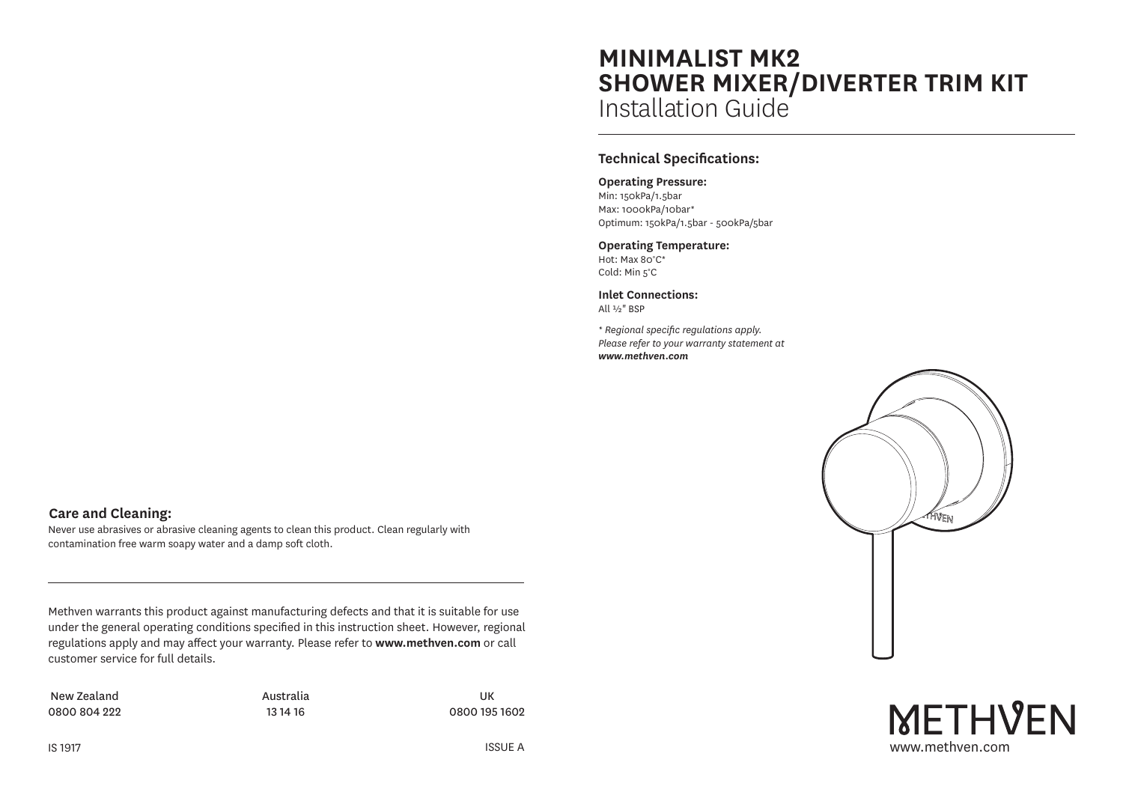# **MINIMALIST MK2 SHOWER MIXER/DIVERTER TRIM KIT** Installation Guide

# **Technical Specifications:**

#### **Operating Pressure:**

Min: 150kPa/1.5bar Max: 1000kPa/10bar\* Optimum: 150kPa/1.5bar - 500kPa/5bar

#### **Operating Temperature:**

Hot: Max 80°C\* Cold: Min 5°C

**Inlet Connections:** All ½" BSP

*\* Regional specific regulations apply. Please refer to your warranty statement at www.methven.com*



www.methven.com

**METHVEN** 

**Care and Cleaning:**

Methven warrants this product against manufacturing defects and that it is suitable for use under the general operating conditions specified in this instruction sheet. However, regional regulations apply and may affect your warranty. Please refer to **www.methven.com** or call customer service for full details.

Never use abrasives or abrasive cleaning agents to clean this product. Clean regularly with

contamination free warm soapy water and a damp soft cloth.

New Zealand 0800 804 222 Australia 13 14 16

UK 0800 195 1602